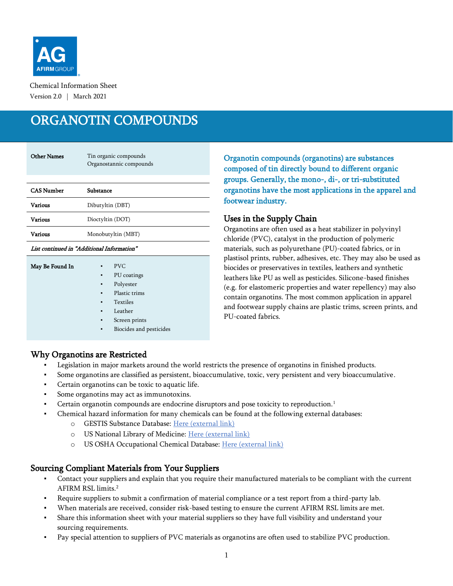

Chemical Information Sheet Version 2.0 | March 2021

# ORGANOTIN COMPOUNDS

| <b>Other Names</b> | Tin organic compounds<br>Organostannic compounds |
|--------------------|--------------------------------------------------|
| <b>CAS Number</b>  | Substance                                        |
| Various            | Dibutyltin (DBT)                                 |
| Various            | Dioctyltin (DOT)                                 |
| Various            | Monobutyltin (MBT)                               |

#### List continued in "Additional Information"

| May Be Found In | ۰              | <b>PVC</b>              |
|-----------------|----------------|-------------------------|
|                 | ٠              | PU coatings             |
|                 | ٠              | Polyester               |
|                 | $\blacksquare$ | Plastic trims           |
|                 | ٠              | <b>Textiles</b>         |
|                 | ٠              | Leather                 |
|                 | ٠              | Screen prints           |
|                 | ٠              | Biocides and pesticides |
|                 |                |                         |
|                 |                |                         |

Organotin compounds (organotins) are substances composed of tin directly bound to different organic groups. Generally, the mono-, di-, or tri-substituted organotins have the most applications in the apparel and footwear industry.

### Uses in the Supply Chain

Organotins are often used as a heat stabilizer in polyvinyl chloride (PVC), catalyst in the production of polymeric materials, such as polyurethane (PU)-coated fabrics, or in plastisol prints, rubber, adhesives, etc. They may also be used as biocides or preservatives in textiles, leathers and synthetic leathers like PU as well as pesticides. Silicone-based finishes (e.g. for elastomeric properties and water repellency) may also contain organotins. The most common application in apparel and footwear supply chains are plastic trims, screen prints, and PU-coated fabrics.

#### Why Organotins are Restricted

- Legislation in major markets around the world restricts the presence of organotins in finished products.
- Some organotins are classified as persistent, bioaccumulative, toxic, very persistent and very bioaccumulative.
- Certain organotins can be toxic to aquatic life.
- Some organotins may act as immunotoxins.
- Certain organotin compounds are endocrine disruptors and pose toxicity to reproduction.<sup>1</sup>
	- Chemical hazard information for many chemicals can be found at the following external databases:
		- o GESTIS Substance Database: [Here \(external link\)](https://gestis-database.dguv.de/search)
		- o US National Library of Medicine: [Here \(external link\)](https://pubchem.ncbi.nlm.nih.gov/)
		- o US OSHA Occupational Chemical Database: [Here \(external link\)](https://www.osha.gov/chemicaldata/index.html)

### Sourcing Compliant Materials from Your Suppliers

- Contact your suppliers and explain that you require their manufactured materials to be compliant with the current AFIRM RSL limits. 2
- Require suppliers to submit a confirmation of material compliance or a test report from a third-party lab.
- When materials are received, consider risk-based testing to ensure the current AFIRM RSL limits are met.
- Share this information sheet with your material suppliers so they have full visibility and understand your sourcing requirements.
- Pay special attention to suppliers of PVC materials as organotins are often used to stabilize PVC production.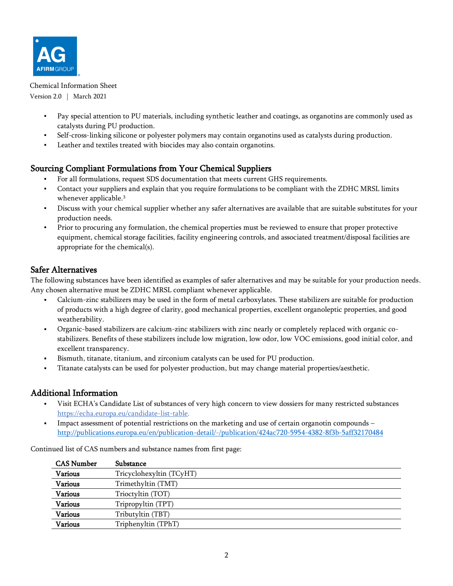

Chemical Information Sheet Version 2.0 | March 2021

- Pay special attention to PU materials, including synthetic leather and coatings, as organotins are commonly used as catalysts during PU production.
- Self-cross-linking silicone or polyester polymers may contain organotins used as catalysts during production.
- Leather and textiles treated with biocides may also contain organotins.

# Sourcing Compliant Formulations from Your Chemical Suppliers

- For all formulations, request SDS documentation that meets current GHS requirements.
- Contact your suppliers and explain that you require formulations to be compliant with the ZDHC MRSL limits whenever applicable.<sup>3</sup>
- Discuss with your chemical supplier whether any safer alternatives are available that are suitable substitutes for your production needs.
- Prior to procuring any formulation, the chemical properties must be reviewed to ensure that proper protective equipment, chemical storage facilities, facility engineering controls, and associated treatment/disposal facilities are appropriate for the chemical(s).

# Safer Alternatives

The following substances have been identified as examples of safer alternatives and may be suitable for your production needs. Any chosen alternative must be ZDHC MRSL compliant whenever applicable.

- Calcium-zinc stabilizers may be used in the form of metal carboxylates. These stabilizers are suitable for production of products with a high degree of clarity, good mechanical properties, excellent organoleptic properties, and good weatherability.
- Organic-based stabilizers are calcium-zinc stabilizers with zinc nearly or completely replaced with organic costabilizers. Benefits of these stabilizers include low migration, low odor, low VOC emissions, good initial color, and excellent transparency.
- Bismuth, titanate, titanium, and zirconium catalysts can be used for PU production.
- Titanate catalysts can be used for polyester production, but may change material properties/aesthetic.

### Additional Information

- Visit ECHA's Candidate List of substances of very high concern to view dossiers for many restricted substances [https://echa.europa.eu/candidate-list-table.](https://echa.europa.eu/candidate-list-table)
- Impact assessment of potential restrictions on the marketing and use of certain organotin compounds <http://publications.europa.eu/en/publication-detail/-/publication/424ac720-5954-4382-8f3b-5aff32170484>

| <b>CAS Number</b> | Substance                |
|-------------------|--------------------------|
| Various           | Tricyclohexyltin (TCyHT) |
| <b>Various</b>    | Trimethyltin (TMT)       |
| <b>Various</b>    | Trioctyltin (TOT)        |
| <b>Various</b>    | Tripropyltin (TPT)       |
| <b>Various</b>    | Tributyltin (TBT)        |
| <b>Various</b>    | Triphenyltin (TPhT)      |

Continued list of CAS numbers and substance names from first page: